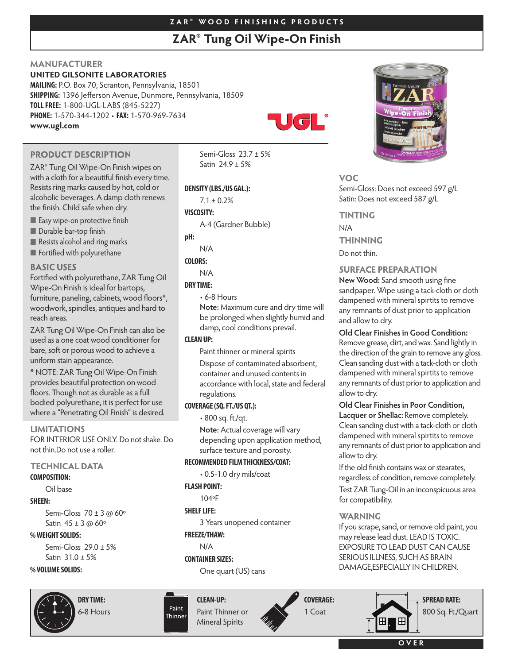# **Z A R ® W O O D F I N I S H I N G P R O D U C T S**

# **ZAR® Tung Oil Wipe-On Finish**

# **MANUFACTURER**

# **UNITED GILSONITE LABORATORIES**

**MAILING:** P.O. Box 70, Scranton, Pennsylvania, 18501 **SHIPPING:** 1396 Jefferson Avenue, Dunmore, Pennsylvania, 18509 **TOLLFREE:** 1-800-UGL-LABS (845-5227) **PHONE:** 1-570-344-1202 • **FAX:** 1-570-969-7634 **www.ugl.com**



**PRODUCT DESCRIPTION** 

ZAR® Tung Oil Wipe-On Finish wipes on with a cloth for a beautiful finish every time. Resists ring marks caused by hot, cold or alcoholic beverages. A damp cloth renews the finish. Child safe when dry.

Easy wipe-on protective finish

**Durable bar-top finish** 

Resists alcohol and ring marks

**Fortified with polyurethane** 

## **BASIC USES**

Fortified with polyurethane, ZAR Tung Oil Wipe-On Finish is ideal for bartops, furniture, paneling, cabinets, wood floors\*, woodwork, spindles, antiques and hard to reach areas.

ZAR Tung Oil Wipe-On Finish can also be used as a one coat wood conditioner for bare, soft or porous wood to achieve a uniform stain appearance.

\* NOTE: ZAR Tung Oil Wipe-On Finish provides beautiful protection on wood floors. Though not as durable as a full bodied polyurethane, it is perfect for use where a "Penetrating Oil Finish" is desired.

#### **LIMITATIONS**

FOR INTERIOR USE ONLY. Do notshake. Do not thin.Do not use a roller.

# **TECHNICAL DATA**

#### **COMPOSITION:**

Oil base

## **SHEEN:**

Semi-Gloss 70 ± 3 @ 60º Satin  $45 \pm 3$  @ 60 $^{\circ}$ 

#### **%WEIGHTSOLIDS:**

Semi-Gloss 29.0 ± 5% Satin 31.0 ± 5%

## **%VOLUMESOLIDS:**



**DRY TIME:** 6-8 Hours Semi-Gloss 23.7 ± 5% Satin 24.9 ± 5%

#### **DENSITY (LBS./US GAL.):**

 $7.1 \pm 0.2\%$ 

#### **VISCOSITY:**

A-4 (Gardner Bubble)

**pH:**

# N/A

**COLORS:**

#### N/A

#### **DRY TIME:**

• 6-8 Hours **Note:** Maximum cure and dry time will be prolonged when slightly humid and damp, cool conditions prevail.

## **CLEANUP:**

Paint thinner or mineral spirits

Dispose of contaminated absorbent, container and unused contents in accordance with local, state and federal regulations.

## **COVERAGE(SQ.FT./US QT.):**

• 800 sq. ft./qt.

**Note:** Actual coverage will vary depending upon application method, surface texture and porosity.

## **RECOMMENDED FILMTHICKNESS/COAT:**

• 0.5-1.0 dry mils/coat

## **FLASH POINT:**

104ºF

## **SHELF LIFE:**

3 Years unopened container

# **FREEZE/THAW:**

N/A

# **CONTAINER SIZES:**

One quart (US) cans

**CLEAN-UP:**

Paint Thinner



# **VOC**

Semi-Gloss: Does not exceed 597 g/L Satin: Does not exceed 587 g/L

## **TINTING**

N/A **THINNING** Do not thin.

# **SURFACE PREPARATION**

**New Wood:** Sand smooth using fine sandpaper. Wipe using a tack-cloth or cloth dampened with mineral spirtits to remove any remnants of dust prior to application and allow to dry.

## **Old Clear Finishesin Good Condition:**

Remove grease, dirt, and wax. Sand lightly in the direction of the grain to remove any gloss. Clean sanding dust with a tack-cloth or cloth dampened with mineral spirtits to remove any remnants of dust prior to application and allow to dry.

# **Old Clear Finishesin Poor Condition,**

**Lacquer or Shellac:**Remove completely. Clean sanding dust with a tack-cloth or cloth dampened with mineral spirtits to remove any remnants of dust prior to application and allow to dry.

If the old finish contains wax or stearates, regardless of condition, remove completely. Test ZAR Tung-Oil in an inconspicuous area for compatibility.

# **WARNING**

If you scrape, sand, or remove old paint, you may release lead dust. LEAD IS TOXIC. EXPOSURE TO LEAD DUST CAN CAUSE SERIOUS ILLNESS, SUCH AS BRAIN DAMAGE, ESPECIALLY IN CHILDREN.

Æ

800 Sq. Ft./Quart

**SPREAD RATE:**

Paint Thinner or Mineral Spirits